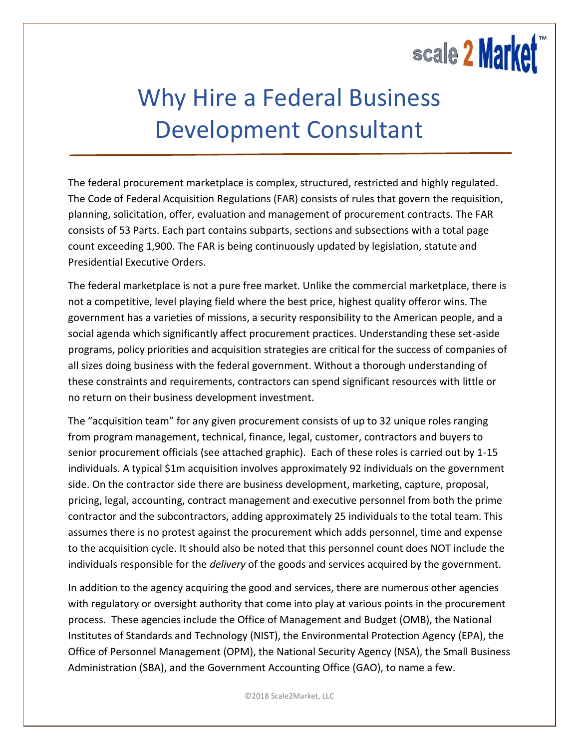## scale 2 Market

## Why Hire a Federal Business Development Consultant

The federal procurement marketplace is complex, structured, restricted and highly regulated. The Code of Federal Acquisition Regulations (FAR) consists of rules that govern the requisition, planning, solicitation, offer, evaluation and management of procurement contracts. The FAR consists of 53 Parts. Each part contains subparts, sections and subsections with a total page count exceeding 1,900. The FAR is being continuously updated by legislation, statute and Presidential Executive Orders.

The federal marketplace is not a pure free market. Unlike the commercial marketplace, there is not a competitive, level playing field where the best price, highest quality offeror wins. The government has a varieties of missions, a security responsibility to the American people, and a social agenda which significantly affect procurement practices. Understanding these set-aside programs, policy priorities and acquisition strategies are critical for the success of companies of all sizes doing business with the federal government. Without a thorough understanding of these constraints and requirements, contractors can spend significant resources with little or no return on their business development investment.

The "acquisition team" for any given procurement consists of up to 32 unique roles ranging from program management, technical, finance, legal, customer, contractors and buyers to senior procurement officials (see attached graphic). Each of these roles is carried out by 1-15 individuals. A typical \$1m acquisition involves approximately 92 individuals on the government side. On the contractor side there are business development, marketing, capture, proposal, pricing, legal, accounting, contract management and executive personnel from both the prime contractor and the subcontractors, adding approximately 25 individuals to the total team. This assumes there is no protest against the procurement which adds personnel, time and expense to the acquisition cycle. It should also be noted that this personnel count does NOT include the individuals responsible for the *delivery* of the goods and services acquired by the government.

In addition to the agency acquiring the good and services, there are numerous other agencies with regulatory or oversight authority that come into play at various points in the procurement process. These agencies include the Office of Management and Budget (OMB), the National Institutes of Standards and Technology (NIST), the Environmental Protection Agency (EPA), the Office of Personnel Management (OPM), the National Security Agency (NSA), the Small Business Administration (SBA), and the Government Accounting Office (GAO), to name a few.

©2018 Scale2Market, LLC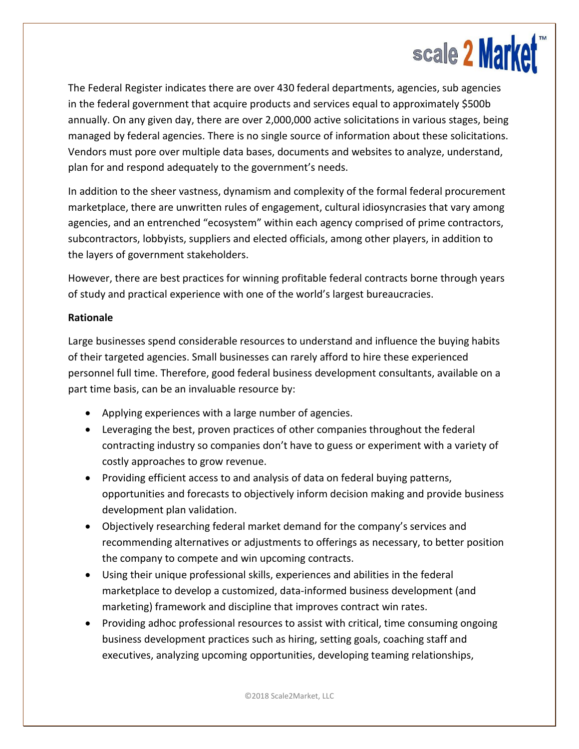

The Federal Register indicates there are over 430 federal departments, agencies, sub agencies in the federal government that acquire products and services equal to approximately \$500b annually. On any given day, there are over 2,000,000 active solicitations in various stages, being managed by federal agencies. There is no single source of information about these solicitations. Vendors must pore over multiple data bases, documents and websites to analyze, understand, plan for and respond adequately to the government's needs.

In addition to the sheer vastness, dynamism and complexity of the formal federal procurement marketplace, there are unwritten rules of engagement, cultural idiosyncrasies that vary among agencies, and an entrenched "ecosystem" within each agency comprised of prime contractors, subcontractors, lobbyists, suppliers and elected officials, among other players, in addition to the layers of government stakeholders.

However, there are best practices for winning profitable federal contracts borne through years of study and practical experience with one of the world's largest bureaucracies.

## **Rationale**

Large businesses spend considerable resources to understand and influence the buying habits of their targeted agencies. Small businesses can rarely afford to hire these experienced personnel full time. Therefore, good federal business development consultants, available on a part time basis, can be an invaluable resource by:

- Applying experiences with a large number of agencies.
- Leveraging the best, proven practices of other companies throughout the federal contracting industry so companies don't have to guess or experiment with a variety of costly approaches to grow revenue.
- Providing efficient access to and analysis of data on federal buying patterns, opportunities and forecasts to objectively inform decision making and provide business development plan validation.
- Objectively researching federal market demand for the company's services and recommending alternatives or adjustments to offerings as necessary, to better position the company to compete and win upcoming contracts.
- Using their unique professional skills, experiences and abilities in the federal marketplace to develop a customized, data-informed business development (and marketing) framework and discipline that improves contract win rates.
- Providing adhoc professional resources to assist with critical, time consuming ongoing business development practices such as hiring, setting goals, coaching staff and executives, analyzing upcoming opportunities, developing teaming relationships,